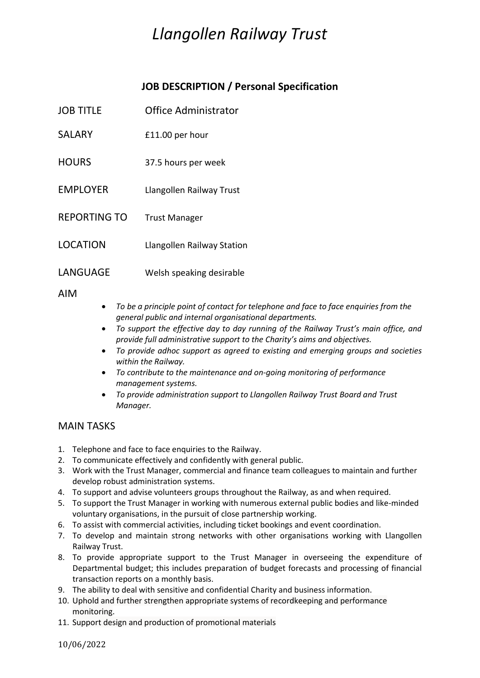# *Llangollen Railway Trust*

# **JOB DESCRIPTION / Personal Specification**

- JOB TITLE Office Administrator
- SALARY **E11.00** per hour
- HOURS 37.5 hours per week
- EMPLOYER Llangollen Railway Trust
- REPORTING TO Trust Manager
- LOCATION Llangollen Railway Station
- LANGUAGE Welsh speaking desirable

AIM

- *To be a principle point of contact for telephone and face to face enquiries from the general public and internal organisational departments.*
- *To support the effective day to day running of the Railway Trust's main office, and provide full administrative support to the Charity's aims and objectives.*
- *To provide adhoc support as agreed to existing and emerging groups and societies within the Railway.*
- *To contribute to the maintenance and on-going monitoring of performance management systems.*
- *To provide administration support to Llangollen Railway Trust Board and Trust Manager.*

## MAIN TASKS

- 1. Telephone and face to face enquiries to the Railway.
- 2. To communicate effectively and confidently with general public.
- 3. Work with the Trust Manager, commercial and finance team colleagues to maintain and further develop robust administration systems.
- 4. To support and advise volunteers groups throughout the Railway, as and when required.
- 5. To support the Trust Manager in working with numerous external public bodies and like-minded voluntary organisations, in the pursuit of close partnership working.
- 6. To assist with commercial activities, including ticket bookings and event coordination.
- 7. To develop and maintain strong networks with other organisations working with Llangollen Railway Trust.
- 8. To provide appropriate support to the Trust Manager in overseeing the expenditure of Departmental budget; this includes preparation of budget forecasts and processing of financial transaction reports on a monthly basis.
- 9. The ability to deal with sensitive and confidential Charity and business information.
- 10. Uphold and further strengthen appropriate systems of recordkeeping and performance monitoring.
- 11. Support design and production of promotional materials